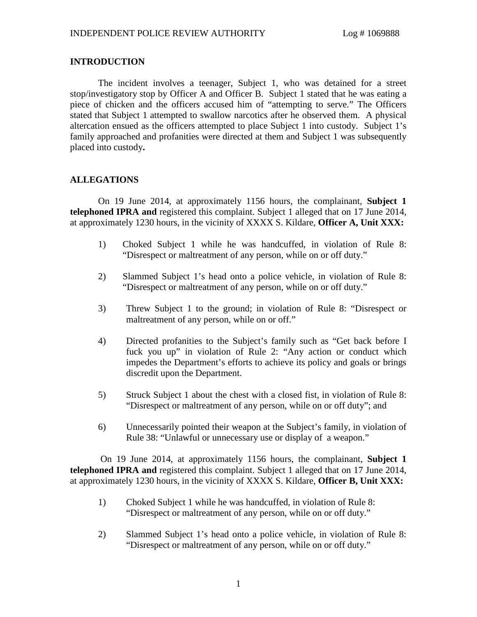## **INTRODUCTION**

The incident involves a teenager, Subject 1, who was detained for a street stop/investigatory stop by Officer A and Officer B. Subject 1 stated that he was eating a piece of chicken and the officers accused him of "attempting to serve." The Officers stated that Subject 1 attempted to swallow narcotics after he observed them. A physical altercation ensued as the officers attempted to place Subject 1 into custody. Subject 1's family approached and profanities were directed at them and Subject 1 was subsequently placed into custody**.**

# **ALLEGATIONS**

On 19 June 2014, at approximately 1156 hours, the complainant, **Subject 1 telephoned IPRA and** registered this complaint. Subject 1 alleged that on 17 June 2014, at approximately 1230 hours, in the vicinity of XXXX S. Kildare, **Officer A, Unit XXX:**

- 1) Choked Subject 1 while he was handcuffed, in violation of Rule 8: "Disrespect or maltreatment of any person, while on or off duty."
- 2) Slammed Subject 1's head onto a police vehicle, in violation of Rule 8: "Disrespect or maltreatment of any person, while on or off duty."
- 3) Threw Subject 1 to the ground; in violation of Rule 8: "Disrespect or maltreatment of any person, while on or off."
- 4) Directed profanities to the Subject's family such as "Get back before I fuck you up" in violation of Rule 2: "Any action or conduct which impedes the Department's efforts to achieve its policy and goals or brings discredit upon the Department.
- 5) Struck Subject 1 about the chest with a closed fist, in violation of Rule 8: "Disrespect or maltreatment of any person, while on or off duty"; and
- 6) Unnecessarily pointed their weapon at the Subject's family, in violation of Rule 38: "Unlawful or unnecessary use or display of a weapon."

On 19 June 2014, at approximately 1156 hours, the complainant, **Subject 1 telephoned IPRA and** registered this complaint. Subject 1 alleged that on 17 June 2014, at approximately 1230 hours, in the vicinity of XXXX S. Kildare, **Officer B, Unit XXX:**

- 1) Choked Subject 1 while he was handcuffed, in violation of Rule 8: "Disrespect or maltreatment of any person, while on or off duty."
- 2) Slammed Subject 1's head onto a police vehicle, in violation of Rule 8: "Disrespect or maltreatment of any person, while on or off duty."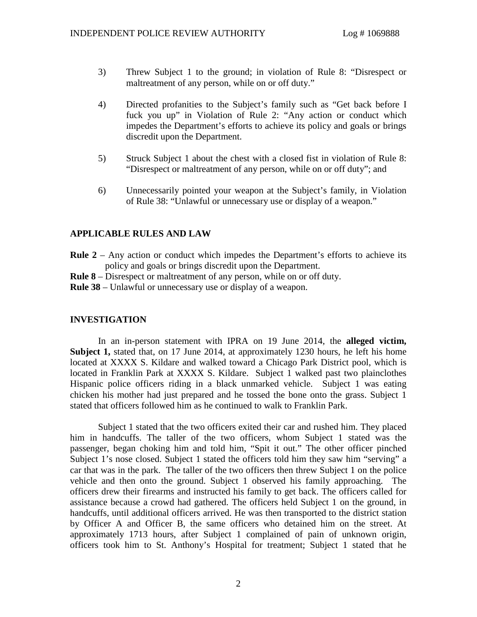- 3) Threw Subject 1 to the ground; in violation of Rule 8: "Disrespect or maltreatment of any person, while on or off duty."
- 4) Directed profanities to the Subject's family such as "Get back before I fuck you up" in Violation of Rule 2: "Any action or conduct which impedes the Department's efforts to achieve its policy and goals or brings discredit upon the Department.
- 5) Struck Subject 1 about the chest with a closed fist in violation of Rule 8: "Disrespect or maltreatment of any person, while on or off duty"; and
- 6) Unnecessarily pointed your weapon at the Subject's family, in Violation of Rule 38: "Unlawful or unnecessary use or display of a weapon."

## **APPLICABLE RULES AND LAW**

- **Rule 2** Any action or conduct which impedes the Department's efforts to achieve its policy and goals or brings discredit upon the Department.
- **Rule 8** Disrespect or maltreatment of any person, while on or off duty.

**Rule 38** – Unlawful or unnecessary use or display of a weapon.

## **INVESTIGATION**

In an in-person statement with IPRA on 19 June 2014, the **alleged victim, Subject 1,** stated that, on 17 June 2014, at approximately 1230 hours, he left his home located at XXXX S. Kildare and walked toward a Chicago Park District pool, which is located in Franklin Park at XXXX S. Kildare. Subject 1 walked past two plainclothes Hispanic police officers riding in a black unmarked vehicle. Subject 1 was eating chicken his mother had just prepared and he tossed the bone onto the grass. Subject 1 stated that officers followed him as he continued to walk to Franklin Park.

Subject 1 stated that the two officers exited their car and rushed him. They placed him in handcuffs. The taller of the two officers, whom Subject 1 stated was the passenger, began choking him and told him, "Spit it out." The other officer pinched Subject 1's nose closed. Subject 1 stated the officers told him they saw him "serving" a car that was in the park. The taller of the two officers then threw Subject 1 on the police vehicle and then onto the ground. Subject 1 observed his family approaching. The officers drew their firearms and instructed his family to get back. The officers called for assistance because a crowd had gathered. The officers held Subject 1 on the ground, in handcuffs, until additional officers arrived. He was then transported to the district station by Officer A and Officer B, the same officers who detained him on the street. At approximately 1713 hours, after Subject 1 complained of pain of unknown origin, officers took him to St. Anthony's Hospital for treatment; Subject 1 stated that he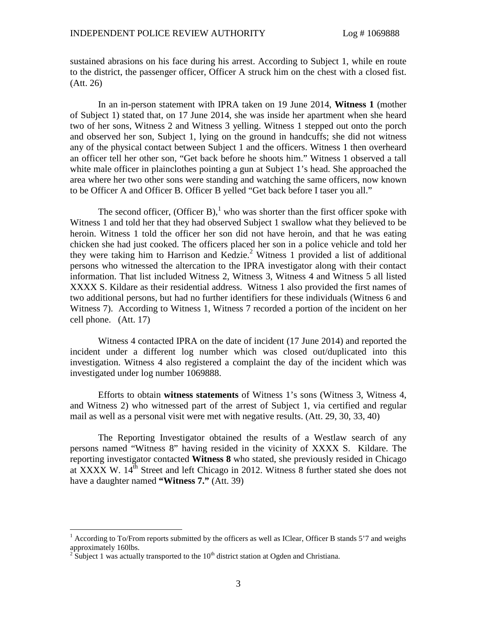sustained abrasions on his face during his arrest. According to Subject 1, while en route to the district, the passenger officer, Officer A struck him on the chest with a closed fist. (Att. 26)

In an in-person statement with IPRA taken on 19 June 2014, **Witness 1** (mother of Subject 1) stated that, on 17 June 2014, she was inside her apartment when she heard two of her sons, Witness 2 and Witness 3 yelling. Witness 1 stepped out onto the porch and observed her son, Subject 1, lying on the ground in handcuffs; she did not witness any of the physical contact between Subject 1 and the officers. Witness 1 then overheard an officer tell her other son, "Get back before he shoots him." Witness 1 observed a tall white male officer in plainclothes pointing a gun at Subject 1's head. She approached the area where her two other sons were standing and watching the same officers, now known to be Officer A and Officer B. Officer B yelled "Get back before I taser you all."

The second officer, (Officer B), who was shorter than the first officer spoke with Witness 1 and told her that they had observed Subject 1 swallow what they believed to be heroin. Witness 1 told the officer her son did not have heroin, and that he was eating chicken she had just cooked. The officers placed her son in a police vehicle and told her they were taking him to Harrison and Kedzie.[2](#page-2-1) Witness 1 provided a list of additional persons who witnessed the altercation to the IPRA investigator along with their contact information. That list included Witness 2, Witness 3, Witness 4 and Witness 5 all listed XXXX S. Kildare as their residential address. Witness 1 also provided the first names of two additional persons, but had no further identifiers for these individuals (Witness 6 and Witness 7). According to Witness 1, Witness 7 recorded a portion of the incident on her cell phone. (Att. 17)

Witness 4 contacted IPRA on the date of incident (17 June 2014) and reported the incident under a different log number which was closed out/duplicated into this investigation. Witness 4 also registered a complaint the day of the incident which was investigated under log number 1069888.

Efforts to obtain **witness statements** of Witness 1's sons (Witness 3, Witness 4, and Witness 2) who witnessed part of the arrest of Subject 1, via certified and regular mail as well as a personal visit were met with negative results. (Att. 29, 30, 33, 40)

The Reporting Investigator obtained the results of a Westlaw search of any persons named "Witness 8" having resided in the vicinity of XXXX S. Kildare. The reporting investigator contacted **Witness 8** who stated, she previously resided in Chicago at XXXX W.  $14<sup>th</sup>$  Street and left Chicago in 2012. Witness 8 further stated she does not have a daughter named **"Witness 7."** (Att. 39)

<span id="page-2-0"></span><sup>&</sup>lt;sup>1</sup> According to To/From reports submitted by the officers as well as IClear, Officer B stands 5'7 and weighs approximately 160lbs.

<span id="page-2-1"></span> $2\hat{S}$ ubject 1 was actually transported to the 10<sup>th</sup> district station at Ogden and Christiana.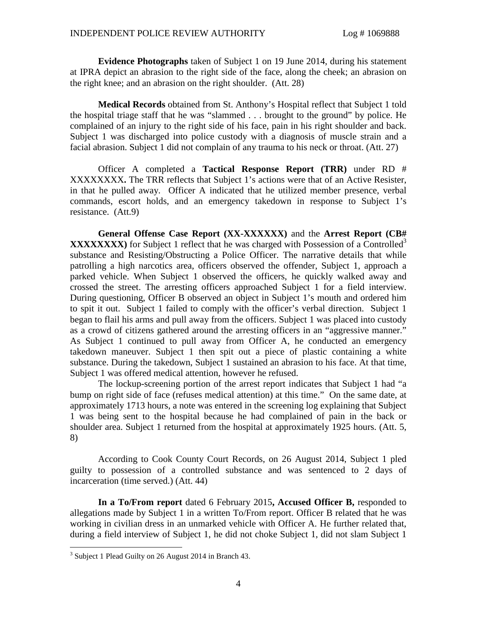**Evidence Photographs** taken of Subject 1 on 19 June 2014, during his statement at IPRA depict an abrasion to the right side of the face, along the cheek; an abrasion on the right knee; and an abrasion on the right shoulder. (Att. 28)

**Medical Records** obtained from St. Anthony's Hospital reflect that Subject 1 told the hospital triage staff that he was "slammed . . . brought to the ground" by police. He complained of an injury to the right side of his face, pain in his right shoulder and back. Subject 1 was discharged into police custody with a diagnosis of muscle strain and a facial abrasion. Subject 1 did not complain of any trauma to his neck or throat. (Att. 27)

Officer A completed a **Tactical Response Report (TRR)** under RD # XXXXXXXX**.** The TRR reflects that Subject 1's actions were that of an Active Resister, in that he pulled away. Officer A indicated that he utilized member presence, verbal commands, escort holds, and an emergency takedown in response to Subject 1's resistance. (Att.9)

**General Offense Case Report (XX-XXXXXX)** and the **Arrest Report (CB# XXXXXXXXX**) for Subject 1 reflect that he was charged with Possession of a Controlled<sup>[3](#page-3-0)</sup> substance and Resisting/Obstructing a Police Officer. The narrative details that while patrolling a high narcotics area, officers observed the offender, Subject 1, approach a parked vehicle. When Subject 1 observed the officers, he quickly walked away and crossed the street. The arresting officers approached Subject 1 for a field interview. During questioning, Officer B observed an object in Subject 1's mouth and ordered him to spit it out. Subject 1 failed to comply with the officer's verbal direction. Subject 1 began to flail his arms and pull away from the officers. Subject 1 was placed into custody as a crowd of citizens gathered around the arresting officers in an "aggressive manner." As Subject 1 continued to pull away from Officer A, he conducted an emergency takedown maneuver. Subject 1 then spit out a piece of plastic containing a white substance. During the takedown, Subject 1 sustained an abrasion to his face. At that time, Subject 1 was offered medical attention, however he refused.

The lockup-screening portion of the arrest report indicates that Subject 1 had "a bump on right side of face (refuses medical attention) at this time." On the same date, at approximately 1713 hours, a note was entered in the screening log explaining that Subject 1 was being sent to the hospital because he had complained of pain in the back or shoulder area. Subject 1 returned from the hospital at approximately 1925 hours. (Att. 5, 8)

According to Cook County Court Records, on 26 August 2014, Subject 1 pled guilty to possession of a controlled substance and was sentenced to 2 days of incarceration (time served.) (Att. 44)

**In a To/From report** dated 6 February 2015**, Accused Officer B,** responded to allegations made by Subject 1 in a written To/From report. Officer B related that he was working in civilian dress in an unmarked vehicle with Officer A. He further related that, during a field interview of Subject 1, he did not choke Subject 1, did not slam Subject 1

<span id="page-3-0"></span><sup>&</sup>lt;sup>3</sup> Subject 1 Plead Guilty on 26 August 2014 in Branch 43.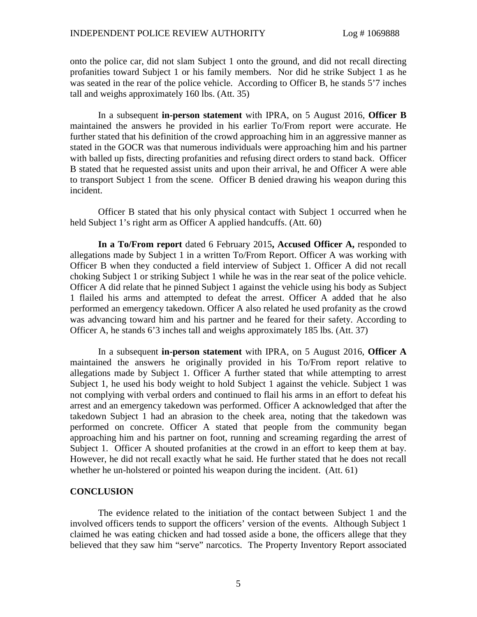onto the police car, did not slam Subject 1 onto the ground, and did not recall directing profanities toward Subject 1 or his family members. Nor did he strike Subject 1 as he was seated in the rear of the police vehicle. According to Officer B, he stands 5'7 inches tall and weighs approximately 160 lbs. (Att. 35)

In a subsequent **in-person statement** with IPRA, on 5 August 2016, **Officer B** maintained the answers he provided in his earlier To/From report were accurate. He further stated that his definition of the crowd approaching him in an aggressive manner as stated in the GOCR was that numerous individuals were approaching him and his partner with balled up fists, directing profanities and refusing direct orders to stand back. Officer B stated that he requested assist units and upon their arrival, he and Officer A were able to transport Subject 1 from the scene. Officer B denied drawing his weapon during this incident.

Officer B stated that his only physical contact with Subject 1 occurred when he held Subject 1's right arm as Officer A applied handcuffs. (Att. 60)

**In a To/From report** dated 6 February 2015**, Accused Officer A,** responded to allegations made by Subject 1 in a written To/From Report. Officer A was working with Officer B when they conducted a field interview of Subject 1. Officer A did not recall choking Subject 1 or striking Subject 1 while he was in the rear seat of the police vehicle. Officer A did relate that he pinned Subject 1 against the vehicle using his body as Subject 1 flailed his arms and attempted to defeat the arrest. Officer A added that he also performed an emergency takedown. Officer A also related he used profanity as the crowd was advancing toward him and his partner and he feared for their safety. According to Officer A, he stands 6'3 inches tall and weighs approximately 185 lbs. (Att. 37)

In a subsequent **in-person statement** with IPRA, on 5 August 2016, **Officer A** maintained the answers he originally provided in his To/From report relative to allegations made by Subject 1. Officer A further stated that while attempting to arrest Subject 1, he used his body weight to hold Subject 1 against the vehicle. Subject 1 was not complying with verbal orders and continued to flail his arms in an effort to defeat his arrest and an emergency takedown was performed. Officer A acknowledged that after the takedown Subject 1 had an abrasion to the cheek area, noting that the takedown was performed on concrete. Officer A stated that people from the community began approaching him and his partner on foot, running and screaming regarding the arrest of Subject 1. Officer A shouted profanities at the crowd in an effort to keep them at bay. However, he did not recall exactly what he said. He further stated that he does not recall whether he un-holstered or pointed his weapon during the incident. (Att. 61)

#### **CONCLUSION**

The evidence related to the initiation of the contact between Subject 1 and the involved officers tends to support the officers' version of the events. Although Subject 1 claimed he was eating chicken and had tossed aside a bone, the officers allege that they believed that they saw him "serve" narcotics. The Property Inventory Report associated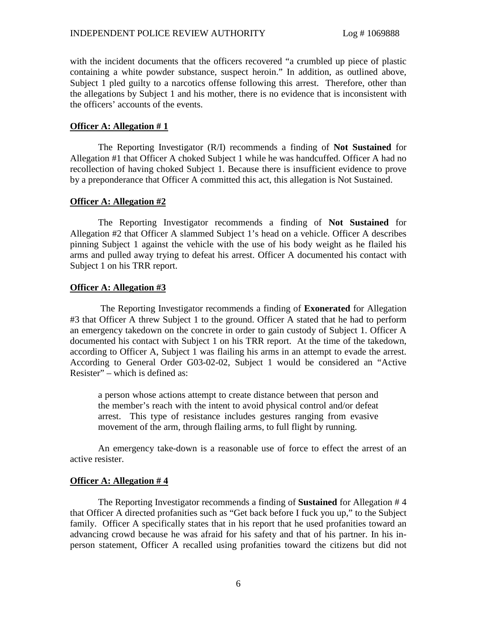with the incident documents that the officers recovered "a crumbled up piece of plastic containing a white powder substance, suspect heroin." In addition, as outlined above, Subject 1 pled guilty to a narcotics offense following this arrest. Therefore, other than the allegations by Subject 1 and his mother, there is no evidence that is inconsistent with the officers' accounts of the events.

#### **Officer A: Allegation # 1**

The Reporting Investigator (R/I) recommends a finding of **Not Sustained** for Allegation #1 that Officer A choked Subject 1 while he was handcuffed. Officer A had no recollection of having choked Subject 1. Because there is insufficient evidence to prove by a preponderance that Officer A committed this act, this allegation is Not Sustained.

#### **Officer A: Allegation #2**

The Reporting Investigator recommends a finding of **Not Sustained** for Allegation #2 that Officer A slammed Subject 1's head on a vehicle. Officer A describes pinning Subject 1 against the vehicle with the use of his body weight as he flailed his arms and pulled away trying to defeat his arrest. Officer A documented his contact with Subject 1 on his TRR report.

#### **Officer A: Allegation #3**

The Reporting Investigator recommends a finding of **Exonerated** for Allegation #3 that Officer A threw Subject 1 to the ground. Officer A stated that he had to perform an emergency takedown on the concrete in order to gain custody of Subject 1. Officer A documented his contact with Subject 1 on his TRR report. At the time of the takedown, according to Officer A, Subject 1 was flailing his arms in an attempt to evade the arrest. According to General Order G03-02-02, Subject 1 would be considered an "Active Resister" – which is defined as:

a person whose actions attempt to create distance between that person and the member's reach with the intent to avoid physical control and/or defeat arrest. This type of resistance includes gestures ranging from evasive movement of the arm, through flailing arms, to full flight by running.

An emergency take-down is a reasonable use of force to effect the arrest of an active resister.

#### **Officer A: Allegation # 4**

The Reporting Investigator recommends a finding of **Sustained** for Allegation # 4 that Officer A directed profanities such as "Get back before I fuck you up," to the Subject family. Officer A specifically states that in his report that he used profanities toward an advancing crowd because he was afraid for his safety and that of his partner. In his inperson statement, Officer A recalled using profanities toward the citizens but did not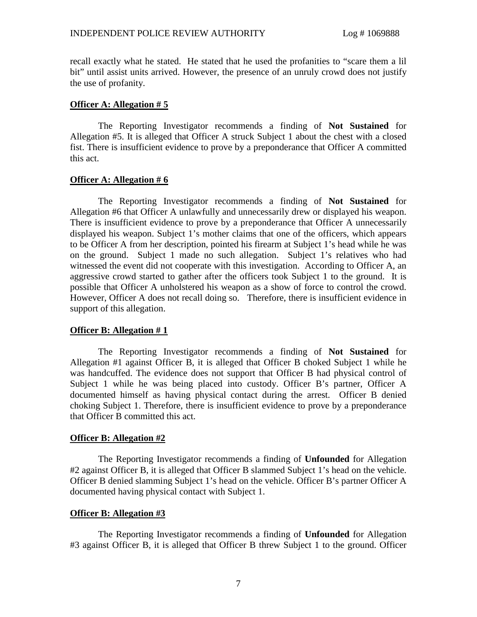recall exactly what he stated. He stated that he used the profanities to "scare them a lil bit" until assist units arrived. However, the presence of an unruly crowd does not justify the use of profanity.

## **Officer A: Allegation # 5**

The Reporting Investigator recommends a finding of **Not Sustained** for Allegation #5. It is alleged that Officer A struck Subject 1 about the chest with a closed fist. There is insufficient evidence to prove by a preponderance that Officer A committed this act.

## **Officer A: Allegation # 6**

The Reporting Investigator recommends a finding of **Not Sustained** for Allegation #6 that Officer A unlawfully and unnecessarily drew or displayed his weapon. There is insufficient evidence to prove by a preponderance that Officer A unnecessarily displayed his weapon. Subject 1's mother claims that one of the officers, which appears to be Officer A from her description, pointed his firearm at Subject 1's head while he was on the ground. Subject 1 made no such allegation. Subject 1's relatives who had witnessed the event did not cooperate with this investigation. According to Officer A, an aggressive crowd started to gather after the officers took Subject 1 to the ground. It is possible that Officer A unholstered his weapon as a show of force to control the crowd. However, Officer A does not recall doing so. Therefore, there is insufficient evidence in support of this allegation.

## **Officer B: Allegation # 1**

The Reporting Investigator recommends a finding of **Not Sustained** for Allegation #1 against Officer B, it is alleged that Officer B choked Subject 1 while he was handcuffed. The evidence does not support that Officer B had physical control of Subject 1 while he was being placed into custody. Officer B's partner, Officer A documented himself as having physical contact during the arrest. Officer B denied choking Subject 1. Therefore, there is insufficient evidence to prove by a preponderance that Officer B committed this act.

## **Officer B: Allegation #2**

The Reporting Investigator recommends a finding of **Unfounded** for Allegation #2 against Officer B, it is alleged that Officer B slammed Subject 1's head on the vehicle. Officer B denied slamming Subject 1's head on the vehicle. Officer B's partner Officer A documented having physical contact with Subject 1.

## **Officer B: Allegation #3**

The Reporting Investigator recommends a finding of **Unfounded** for Allegation #3 against Officer B, it is alleged that Officer B threw Subject 1 to the ground. Officer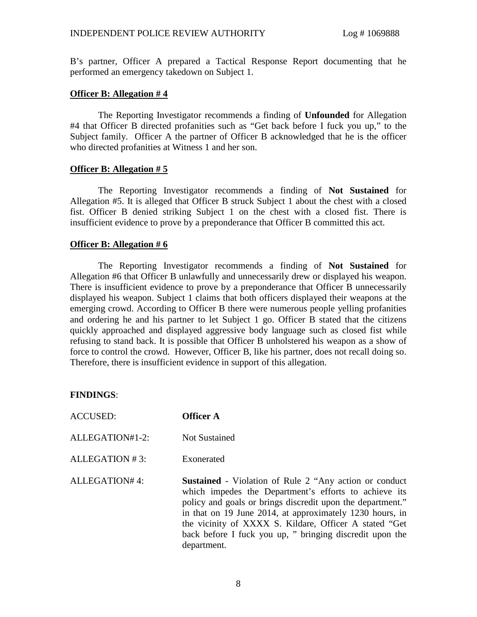B's partner, Officer A prepared a Tactical Response Report documenting that he performed an emergency takedown on Subject 1.

#### **Officer B: Allegation # 4**

The Reporting Investigator recommends a finding of **Unfounded** for Allegation #4 that Officer B directed profanities such as "Get back before I fuck you up," to the Subject family. Officer A the partner of Officer B acknowledged that he is the officer who directed profanities at Witness 1 and her son.

#### **Officer B: Allegation # 5**

The Reporting Investigator recommends a finding of **Not Sustained** for Allegation #5. It is alleged that Officer B struck Subject 1 about the chest with a closed fist. Officer B denied striking Subject 1 on the chest with a closed fist. There is insufficient evidence to prove by a preponderance that Officer B committed this act.

## **Officer B: Allegation # 6**

The Reporting Investigator recommends a finding of **Not Sustained** for Allegation #6 that Officer B unlawfully and unnecessarily drew or displayed his weapon. There is insufficient evidence to prove by a preponderance that Officer B unnecessarily displayed his weapon. Subject 1 claims that both officers displayed their weapons at the emerging crowd. According to Officer B there were numerous people yelling profanities and ordering he and his partner to let Subject 1 go. Officer B stated that the citizens quickly approached and displayed aggressive body language such as closed fist while refusing to stand back. It is possible that Officer B unholstered his weapon as a show of force to control the crowd. However, Officer B, like his partner, does not recall doing so. Therefore, there is insufficient evidence in support of this allegation.

## **FINDINGS**:

- ACCUSED: **Officer A**
- ALLEGATION#1-2: Not Sustained
- ALLEGATION # 3: Exonerated

ALLEGATION# 4: **Sustained** - Violation of Rule 2 "Any action or conduct which impedes the Department's efforts to achieve its policy and goals or brings discredit upon the department." in that on 19 June 2014, at approximately 1230 hours, in the vicinity of XXXX S. Kildare, Officer A stated "Get back before I fuck you up, " bringing discredit upon the department.